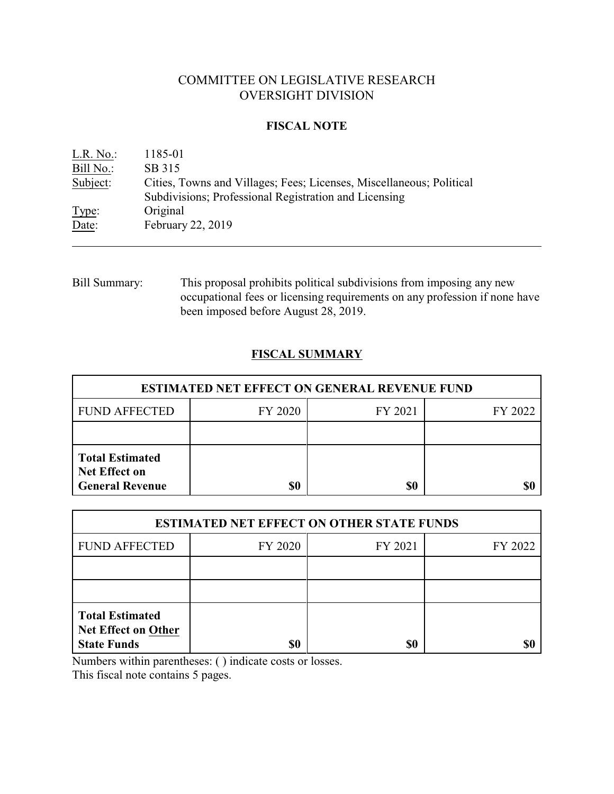# COMMITTEE ON LEGISLATIVE RESEARCH OVERSIGHT DIVISION

# **FISCAL NOTE**

| $L.R. No.$ :   | 1185-01                                                                                                                       |
|----------------|-------------------------------------------------------------------------------------------------------------------------------|
| Bill No.:      | SB 315                                                                                                                        |
| Subject:       | Cities, Towns and Villages; Fees; Licenses, Miscellaneous; Political<br>Subdivisions; Professional Registration and Licensing |
| Type:<br>Date: | Original<br>February 22, 2019                                                                                                 |

Bill Summary: This proposal prohibits political subdivisions from imposing any new occupational fees or licensing requirements on any profession if none have been imposed before August 28, 2019.

# **FISCAL SUMMARY**

| <b>ESTIMATED NET EFFECT ON GENERAL REVENUE FUND</b>                      |         |         |         |  |
|--------------------------------------------------------------------------|---------|---------|---------|--|
| <b>FUND AFFECTED</b>                                                     | FY 2020 | FY 2021 | FY 2022 |  |
|                                                                          |         |         |         |  |
| <b>Total Estimated</b><br><b>Net Effect on</b><br><b>General Revenue</b> | \$0     | \$0     |         |  |

| <b>ESTIMATED NET EFFECT ON OTHER STATE FUNDS</b>                           |         |         |         |  |
|----------------------------------------------------------------------------|---------|---------|---------|--|
| <b>FUND AFFECTED</b>                                                       | FY 2020 | FY 2021 | FY 2022 |  |
|                                                                            |         |         |         |  |
|                                                                            |         |         |         |  |
| <b>Total Estimated</b><br><b>Net Effect on Other</b><br><b>State Funds</b> | \$0     | \$0     |         |  |

Numbers within parentheses: ( ) indicate costs or losses.

This fiscal note contains 5 pages.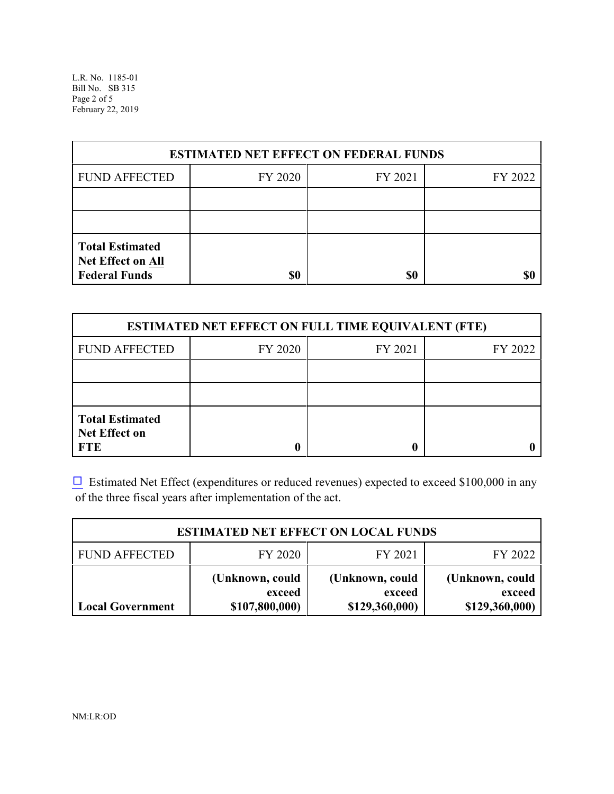L.R. No. 1185-01 Bill No. SB 315 Page 2 of 5 February 22, 2019

| <b>ESTIMATED NET EFFECT ON FEDERAL FUNDS</b>                        |         |         |         |  |
|---------------------------------------------------------------------|---------|---------|---------|--|
| <b>FUND AFFECTED</b>                                                | FY 2020 | FY 2021 | FY 2022 |  |
|                                                                     |         |         |         |  |
|                                                                     |         |         |         |  |
| <b>Total Estimated</b><br>Net Effect on All<br><b>Federal Funds</b> | \$0     | \$0     |         |  |

| <b>ESTIMATED NET EFFECT ON FULL TIME EQUIVALENT (FTE)</b>    |         |         |         |  |
|--------------------------------------------------------------|---------|---------|---------|--|
| <b>FUND AFFECTED</b>                                         | FY 2020 | FY 2021 | FY 2022 |  |
|                                                              |         |         |         |  |
|                                                              |         |         |         |  |
| <b>Total Estimated</b><br><b>Net Effect on</b><br><b>FTE</b> |         |         |         |  |

 $\Box$  Estimated Net Effect (expenditures or reduced revenues) expected to exceed \$100,000 in any of the three fiscal years after implementation of the act.

| <b>ESTIMATED NET EFFECT ON LOCAL FUNDS</b> |                                             |                                             |                                             |  |
|--------------------------------------------|---------------------------------------------|---------------------------------------------|---------------------------------------------|--|
| <b>FUND AFFECTED</b>                       | FY 2020                                     | FY 2021                                     | FY 2022                                     |  |
| <b>Local Government</b>                    | (Unknown, could<br>exceed<br>\$107,800,000) | (Unknown, could<br>exceed<br>\$129,360,000) | (Unknown, could<br>exceed<br>\$129,360,000) |  |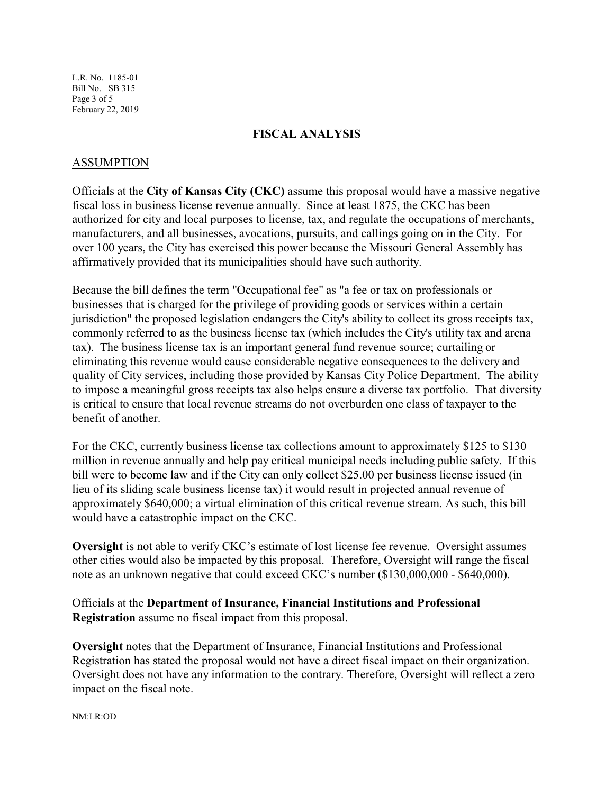L.R. No. 1185-01 Bill No. SB 315 Page 3 of 5 February 22, 2019

#### **FISCAL ANALYSIS**

## ASSUMPTION

Officials at the **City of Kansas City (CKC)** assume this proposal would have a massive negative fiscal loss in business license revenue annually. Since at least 1875, the CKC has been authorized for city and local purposes to license, tax, and regulate the occupations of merchants, manufacturers, and all businesses, avocations, pursuits, and callings going on in the City. For over 100 years, the City has exercised this power because the Missouri General Assembly has affirmatively provided that its municipalities should have such authority.

Because the bill defines the term "Occupational fee" as "a fee or tax on professionals or businesses that is charged for the privilege of providing goods or services within a certain jurisdiction" the proposed legislation endangers the City's ability to collect its gross receipts tax, commonly referred to as the business license tax (which includes the City's utility tax and arena tax). The business license tax is an important general fund revenue source; curtailing or eliminating this revenue would cause considerable negative consequences to the delivery and quality of City services, including those provided by Kansas City Police Department. The ability to impose a meaningful gross receipts tax also helps ensure a diverse tax portfolio. That diversity is critical to ensure that local revenue streams do not overburden one class of taxpayer to the benefit of another.

For the CKC, currently business license tax collections amount to approximately \$125 to \$130 million in revenue annually and help pay critical municipal needs including public safety. If this bill were to become law and if the City can only collect \$25.00 per business license issued (in lieu of its sliding scale business license tax) it would result in projected annual revenue of approximately \$640,000; a virtual elimination of this critical revenue stream. As such, this bill would have a catastrophic impact on the CKC.

**Oversight** is not able to verify CKC's estimate of lost license fee revenue. Oversight assumes other cities would also be impacted by this proposal. Therefore, Oversight will range the fiscal note as an unknown negative that could exceed CKC's number (\$130,000,000 - \$640,000).

Officials at the **Department of Insurance, Financial Institutions and Professional Registration** assume no fiscal impact from this proposal.

**Oversight** notes that the Department of Insurance, Financial Institutions and Professional Registration has stated the proposal would not have a direct fiscal impact on their organization. Oversight does not have any information to the contrary. Therefore, Oversight will reflect a zero impact on the fiscal note.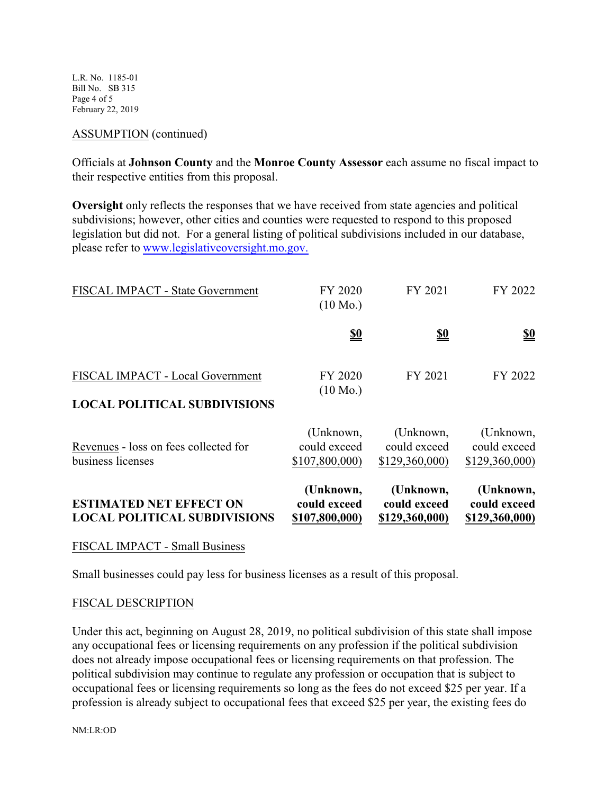L.R. No. 1185-01 Bill No. SB 315 Page 4 of 5 February 22, 2019

#### ASSUMPTION (continued)

Officials at **Johnson County** and the **Monroe County Assessor** each assume no fiscal impact to their respective entities from this proposal.

**Oversight** only reflects the responses that we have received from state agencies and political subdivisions; however, other cities and counties were requested to respond to this proposed legislation but did not. For a general listing of political subdivisions included in our database, please refer to [www.legislativeoversight.mo.gov.](http://www.legislativeoversight.mo.gov.)

| <b>ESTIMATED NET EFFECT ON</b><br><b>LOCAL POLITICAL SUBDIVISIONS</b>   | (Unknown,<br>could exceed<br>\$107,800,000) | (Unknown,<br>could exceed<br>\$129,360,000) | (Unknown,<br>could exceed<br>\$129,360,000) |
|-------------------------------------------------------------------------|---------------------------------------------|---------------------------------------------|---------------------------------------------|
| Revenues - loss on fees collected for<br>business licenses              | (Unknown,<br>could exceed<br>\$107,800,000) | (Unknown,<br>could exceed<br>\$129,360,000) | (Unknown,<br>could exceed<br>\$129,360,000) |
| FISCAL IMPACT - Local Government<br><b>LOCAL POLITICAL SUBDIVISIONS</b> | FY 2020<br>$(10 \text{ Mo.})$               | FY 2021                                     | FY 2022                                     |
|                                                                         | <u>\$0</u>                                  | <u>\$0</u>                                  | <u>\$0</u>                                  |
| FISCAL IMPACT - State Government                                        | FY 2020<br>$(10 \text{ Mo.})$               | FY 2021                                     | FY 2022                                     |

## FISCAL IMPACT - Small Business

Small businesses could pay less for business licenses as a result of this proposal.

## FISCAL DESCRIPTION

Under this act, beginning on August 28, 2019, no political subdivision of this state shall impose any occupational fees or licensing requirements on any profession if the political subdivision does not already impose occupational fees or licensing requirements on that profession. The political subdivision may continue to regulate any profession or occupation that is subject to occupational fees or licensing requirements so long as the fees do not exceed \$25 per year. If a profession is already subject to occupational fees that exceed \$25 per year, the existing fees do